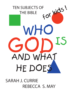

**SARAH J. CURRIE REBECCA S. MAY**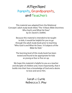### Attention! Parents, Grandparents, and Teachers

**This material was adapted from the** *Relational Concepts'* **adult study book titled, "***The 10 Basic Bible Doctrines: Who God Is and What He Does"*  **by Dr. David A. DeWitt.** 

> **Because this material is intended to be taught to kids, it would be helpful for you to go through the adult study book prior to teaching**  *"Who God Is and What He Does: 10 Subjects of the Bible for Kids."*

**The learning level of this study book has been tested and found to be appropriate for kids as young as four or five on up.** 

**We hope this material is helpful to you as a teacher and discipler of children and, more importantly, that it builds into their lives a knowledge of God and a desire to love and serve Him.**

> Sarah J. Currie Rebecca S. May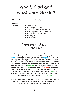### Who is God and What does He do?

| Who is God?          | Father, Son, and Holy Spirit                                                                                                                                                                                   |
|----------------------|----------------------------------------------------------------------------------------------------------------------------------------------------------------------------------------------------------------|
| What does<br>God do? | He Saves People<br>He is building His Church<br>He tells you about Himself in the Bible<br>He helps His people with Sanctification<br>He has a relationship with People<br>He uses Angels<br>He deals with Sin |

### These are 10 subjects of the Bible

In the top red circle put the word **Father**. God the Father is the Father of both angels and people. In the left blue triangle put the word **People**. In the right blue triangle put the word **Angels**. God can never sin but people and angels do sin. In the center top blue triangle write the word **Sin**. In the bottom left red circle write the word **Son**. God the Son saves people and builds His church. In the left green square under the Son write the word **Salvation**. In the right green square under the Son write the word **Church**. Write the words **Holy Spirit** in the bottom right red circle. God the Holy Spirit helped men to write the Bible. In the left green square under the Holy Spirit write the word **Bible**. The Holy Spirit also helps people grow spiritually. In the right green square under the Holy Sprit write the word **Sanctification**.

God the Father, God the Son, and God the Holy Spirit all work together on these 10 subjects of the Bible. The Father and the Holy Spirit work with the Son to help people get to heaven.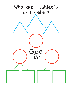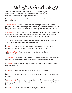### What is God Like?

**The Bible tells you what God is like. Since God never changes, once you learn about Him, you will know what He is always like. Here are 12 important things you need to know.**

**I. All-Over** – God is everywhere. He is here with you and He is also in heaven (*Psalm 139:7-10*).

2. All-Powerful – When God makes thunder and lightning you can see how powerful He is. God is so strong that He can do anything, but He doesn't do silly things like make square circles or a stick with only one end (*Isaiah 40:26-31*).

3. All-Knowing – God knows everything. He knows what has already happened. He knows all that is happening now. He knows everything that will happen tomorrow. He even knows what you are thinking (*Psalm 139:1-6*).

 $4.$  Just – God always treats people the right way–no matter what! That doesn't mean that He treats everyone the same (*Romans 2:11*).

5. Eternal – God has always existed and He will always exist. He has no beginning, He doesn't get old, and He has no end (*Psalm 90:2*).

6. Supreme Ruler – God is in control of everything, even Satan (*1 Chronicles 29:11*).

7. One/Three - God the Father, God the Son, and God the Holy Spirit are three separate persons but one God (*Deuteronomy 6:4 and Matthew 28:19*).

8. Infinite – God can do anything He wants. Nothing can stop God or contain Him (*1 Kings 8:27*).

9. Truth – God can never lie. He can only tell the truth (*John 14:6*).

10. Holy – God is separate from everything that is bad or evil. He has no sin (Isaiah 6:3).

**II. Unchanging** – God will never change. But what He says can change because people change. What works at one time may not be good for another time (*James 1:17*).

12. Love – God always does what is best for you (*1 John 4:7-8*).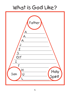### What is God Like?

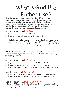# What is God the Father Like?

**The Father, the Son, and the Holy Spirit are three different Persons but one God. They all work together, but they do different jobs. It's something like a dad, a mom and you in a family. They are all different people but they are all still people. You are going to learn four of the jobs that the Father does. God the Father plans things. He also provides things for you. He protects you and disciplines you.**

#### **God the Father is the** PLANNER

- 1. He planned all of **Creation** *(Job 38-1-11)*.
- 2. He planned **who would go to heaven** *(Ephesians 1:3-11)*.

God the Father planned every single thing that has already happened, that is happening now, and everything that will happen *(Romans 8:28-29)*. God decides who will love Him and who won't. But you still have to decide to love Him. Just because God planned it, doesn't mean you can't get in trouble when you do something wrong.

**REMEMBER!** Planning is God the Father's job. Having faith in Him and in Jesus as your Savior is your job. If you try to put God's job together with your job you might get confused.

### **God the Father is the** PROVIDER

- 1. He gives you **everything you need** to live *(Matthew 6:25-34)*.
- 2. He gives you **strength to be good** and to do good things *(Psalm 1:1-3)*.
- 3. He gives you people and things to **help you in hard times** *(Genesis 22:1-14)*.

### **God the Father is a** PROTECTOR

- 1. He protects **you** by deciding when and where you will live *(Acts 17:24-28)*.
- 2. He protects **everyone who needs Him and believes in Him** *(Psalm 23)*.

#### **God the Father is the** DISCIPLINARIAN

*Hebrews 12:7-13* says that **God disciplines you**. He does this so that you'll keep going in the right direction. So, he helps you to do things that are good for you and He helps you *not* do things that will hurt you.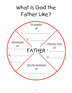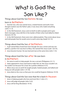# What is God the Son Like?

#### **Things about God the Son** before **He was**

### **born in** Bethlehem

1. God the Son, who was named **Jesus, created heaven and earth**. Even though Creation was the Father's plan, it was Jesus who made everything *(John 1:1-3)*.

2. In the Old Testament, **Jesus came to Earth to talk to people** and to give them messages. Jesus did this in the Garden of Eden when God talked to Adam *(Genesis 3:9-19)*.

3. In the Old Testament, there were men called prophets. They wrote about Jesus and told people that **He would come to earth some day** *(Isaiah 53:1-9)*.

### **Things about God the Son** at Bethlehem

1. A girl named Mary loved God. Even though she was a sinner and was not perfect, **a perfect Son was born** to Mary. She named Him Jesus *(Luke 1:26-35)*.

2. **Jesus became human.** He was God and man at the same time *(John 1:14)*.

### **Things about God the Son** after **He was born in** Bethlehem

1. He came to earth to help people. **He was a servant** *(Philippians 2:5-11).*

2. Satan appeared to Jesus and tried to make Him sin. But Jesus wouldn't sin. He couldn't sin because He is God. **He is perfect** *(Hebrews 4:15)*.

3. When Jesus was on earth **He taught people**, healed people, and talked and hung out with people *(John 1:14-18)*.

4. Jesus **died on the cross** so that your sins could be forgiven *(Hebrews 10:10)*.

#### **Things about God the Son now that He is back** in Heaven

- 1. Jesus **is helping people** who love and trust Him *(1 John 2:1)*.
- 2. Jesus **will judge all people** *(John 5:22)*.
- 3. Jesus **will be King** *(Revelation 19:16)*.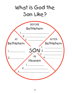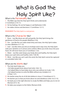# What is God the Holy Spirit Like?

#### **What is His** Personality **like?**

- 1. The Bible says that **the Holy Spirit thinks and understands**
- *(1 Corinthians 2:10-11)*.
- 2. **He has feelings**. He can be happy or sad *(Ephesians 4:30)*.
- 3. **He makes choices and decisions** *(1 Corinthians 12:11).*

#### **REMEMBER! The Holy Spirit is a real person.**

### **What is His** Character **like?**

1. **Dove** – Just like doves are soft and gentle, the Holy Spirit brings the gentleness of God to His people *(Matthew 3:16).*

2. **Fire** – Just like fire can make metal shiny and clean, the Holy Spirit makes us clean *(Matthew 3:11-12).*

3. **Seal** – Just like when you lick an envelope and it stays shut, the Holy Spirit seals your salvation so it cannot come undone. When you invite Jesus into your heart, He will never leave you *(2 Corinthians 1:22).*

4. **Water** – Just like water keeps your body alive and healthy, the Holy Spirit keeps your spirit alive and healthy *(John 7:38-39).*

5. **Wind** – Just like you can't catch the wind, the Holy Spirit cannot be captured or controlled *(John 3:8).*

#### **What are His** Works **like?**

- 1. The Holy Spirit **helps** you.
	- He helps people **know about God** *(John 16:8, 13).*
	- He helped Mary **to have baby Jesus** who was without sin *(Luke 1:35).*
	- He helped humans **to write the Bible** without any mistakes in it  *(2 Peter 1:21)*.
- 2. He **washes** away the sin of all who believe in Jesus *(1 Corinthians 6:11)*.
- 3. He **teaches** you so that you know about sin and obedience *(John 16:12-15).*
- 4. He **leads** you in the right direction to study the Bible and helps you to not sin  *(Romans 8:14, 16).*
- 5. He takes your **prayers** to the Father *(Romans 8:26).*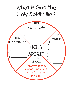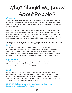# What Should We Know About People?

### Creation

The Bible says that *God created man in His own image, in the image of God He created him, male and female He created them (Genesis 1:27)*. After God created Adam and Eve, He gave them a test to see if they would obey Him. Do you know what the test was?

Adam and Eve did not obey God. When you don't obey God, you sin. God said that from then on they would both have hard labor. Men would have to work really hard to take care of themselves and their families. Women would have hard labor pains when they have babies *(Genesis 1:28; 3:15; 15, 19)*. God also said that because humans chose to sin they would eventually die *(Genesis 2:17; 3:19)*.

### Body God gives everyone a body, a personality, and a spirit.

You will always have a body; now on this earth and after you die *(1 Corinthians 15:42-44)*. The first body, the one you have now, is **like a tent**. When you go camping, your tent is where you live while you are gone from home. When you die, you will receive a heavenly body that is more like a house. It will be stronger and better, a home you will enjoy forever *(2 Peter 1:13-15)*.

### **Personality**

Just like God, you also have personality. **You can think and understand**  *(Romans 12:2)*. **You have feelings**; you can be happy or sad. **You can make choices and decisions** *(Deuteronomy 30:19)*.

### **Spirit**

Because everyone has a spirit, **you can understand that some things are right and other things are wrong** *(Romans 1:20)*. You might wonder why you are a person or ask questions like: Who am I? Why am I here? Am I important? What's going to happen to me when I die? *(Psalm 73:16-24)* People are creative. **You can think of new and different things to do**.

REMEMBER! God created you in **His** image. You are *not* like animals. People came from **God** *not* from animals.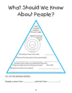### What Should We Know About People?

| God<br>created<br>people in<br>His own image.                                                                |
|--------------------------------------------------------------------------------------------------------------|
| What three things<br>did God<br>give                                                                         |
| The body you have now is like:                                                                               |
| What are the three parts of your personality?                                                                |
| Everyone with a spirit can understand that some<br>things are right and some things are wrong?<br>YES or NO. |
| What does it mean to be creative?                                                                            |

#### **FILL IN THE MISSING WORDS:**

People came from and not from !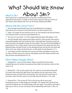### What Should We Know What is Sin? About Sin?

God is good. **Sin is anything that is not good or anything that is the opposite of who God is**. In order to know what is good so that you won't sin, you need to learn about God. You can do this by studying the Bible.

### Where Did Sin Come From?

1. Even though God Himself never sins, **God allowed sin to happen.** God wants you to choose to love Him but you can also choose to sin.

2. Satan is an angel. He was the first one to sin. He wanted to be God and that's a sin because there is only one God *(Ezekiel 28:15)*.

3. The next sin was when 1/3 of the angels followed Satan *(Revelation 12:4)*.

4. The first people God created were Adam and Eve. They sinned. They lived in a beautiful garden that God made for them. God told them that they could eat from any tree in the garden except the tree called, "The tree of the knowledge of good and evil." As a snake, Satan came to Eve and lied to her about the tree. Eve believed Satan instead of God. So she disobeyed God, and ate the fruit God told them not to eat. Adam ate the fruit too, so they both sinned *(Genesis 3:1-7)*.

5. Later Adam and Eve had kids who sinned, and their grandkids sinned, and on and on all the way to you and me. All people came from Adam and Eve and they all have sinned *(Genesis 4:3-15).*

### What Makes People Sinful?

1. **Imputed Sin = Your sin from Adam.** Adam was the first person God created. Because he sinned, every person born after him was born with sin *(Romans 5:12).*

2. **Natural Sin = The sin you want to do.** You want to sin sometimes because it is easier than doing the right thing. Your parents are the same way. Some things you have, you got from your parents. You may have the same nose or the same smile. You also want to sin just like they do *(Romans 1:18–3:20)*.

3. **Personal Sin = The sin you do**. This is the sin you do on your own. Sometimes you lie or take things you shouldn't. Sin makes God sad. But if you ask God to forgive you, He will be happy with you again. You need to ask God to help you to not sin, so you can keep a close relationship with God *(1 John 1:8- 10)*.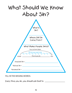

**FILL IN THE MISSING WORDS:** 

Every time you sin, you should ask God to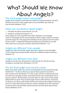# What Should We Know About Angels?

#### The word angel means messenger

Angels were created by God before He made the world and people *(Job 38:7)*. We don't know how many angels there are, but the Bible says **there are a lot of them** *(Hebrews 12:22)*.

### There are two kinds of good angels

- 1. **Cherubim do jobs for God** *(Genesis 3:22-24)*.
- 2. **Seraphim worship God** *(Isaiah 6:1-3)*.

Some angels are more powerful than others. **Michael is an archangel** *(Jude 9)*. Archangels are the most powerful of all the angels. Gabriel is another powerful angel. He is the angel who told Mary she was going to be the mother of Jesus *(Luke 1)*. Angels like Michael and Gabriel are interested in your life. They watch you as you grow and learn about God *(Hebrews 1:14)*.

#### Angels are different from people

Angels don't die *(Luke 20:36)*. Angels don't get married or have kids *(Mark 12:25)*. Angels have spiritual bodies which are in different shapes and forms *(Isaiah 6:1-3)*.

### Angels are different from God

Angels are *not* all-over, all-powerful, or all-knowing. You should *not* pray to angels or worship them *(Revelation 19:9-10)*.

### The first bad angel was named Lucifer

When God made Lucifer, he was **the most beautiful** and most powerful angel *(Ezekiel 28:11-16)*. But **Lucifer was so proud of how great he was** that he even wanted to be God *(Isaiah 14:12-20)*. Lucifer sinned in wanting to be God. His name was changed to Satan or the Devil and he was not allowed to live in heaven anymore. He left heaven and went down to earth. Some of the angels followed him to **earth**. They are bad angels and are called **demons**. Satan and his demons are still on earth today and they are trying to get people to hate God and to sin *(John 8:44)*. Because they are so bad, someday Jesus will come back to earth and He will send Satan and his demons into hell where they will live forever *(Matthew 25:41)*.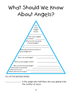### What Should We Know About Angels?



**FILL IN THE MISSING WORD:**

 is the angel who told Mary she was going to be the mother of Jesus.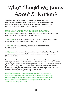### What Should We Know About Salvation?

**Salvation means to be saved from your sin. Sin keeps you from having a relationship with God** *(Romans 3:23)* **and being able to go to heaven. You must get rid of all your sin, and there's only one way to do that, you must receive Jesus as your Savior** *(John 1:12; 1 John 5:13).* 

### Here are 4 words that describe salvation.

1. **Satisfied –** God is satisfied with Jesus' death on the cross. It was enough to pay for the sins of everyone in the world *(1 John 2:2)*.

2. **Changed –** You are changed when you ask Jesus to forgive your sins and come into your heart and be your Savior *(2 Corinthians 5:19)*.

3. **Paid for –** Sin was paid for by Jesus when He died on the cross *(Galatians 3:13).*

4. **Righteous –** You are now righteous. This means that God has taken your sin away because of what Jesus did for you. Now you are able to go to heaven *(Romans 3:23-25).*

You now know that Jesus chose to die on the cross for you to take away your sin so that you can have a relationship with God and so you can go to heaven when you die. If you want to know God and go to heaven, you need to accept Jesus into your heart by asking Him to be your Savior. God loves you and wants to have a relationship with you. But you must choose to let God into your life. If you want to be saved from your sin, you can say a prayer like this:

**Dear God, I know I am a sinner and I know the Bible says that Jesus, who is God, paid for my sins when He died on the cross. I want to say that I am sorry for my sin and I want to ask You to come into my heart so I can have a relationship with You and go to heaven when I die. Thank You for saving me. Amen.**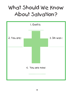### What Should We Know About Salvation?

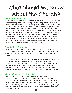# What Should We Know About the Church?

#### What the Church is

Do you remember Adam? He was the first person created. When he sinned, God had to find a way to have a relationship with people again because sin causes us to be separated from God. About 2,000 years before Jesus lived on earth, God started bringing people back to Himself through a group of people who were known as **Israel**. They were the people in the Old Testament who loved God. Some of those people were Abraham, Joseph, and Moses. After Jesus died, which was about 2,000 years ago, God began to bring all kinds of people to be part of what He called **the church**. The word church means "group." The church, then, is the group of all people who have received Jesus' payment on the cross for their sins. These are the people who loved God in the New Testament, and also those who love God today. Some of those people were Peter, Paul, and the people you know today who have received Jesus into their hearts.

### Things the Church does

The church started during the Jewish holiday called Pentecost. At Pentecost the Holy Spirit came to live in the hearts of all the people who received Jesus as their Savior *(Acts 2)*. Since then almost all Christians have done these two things:

1. **Baptism:** To be baptized means to be dipped in water. Christians can do this **to show to others that they have a relationship with Jesus** *(Acts 8:37)*.

2. **The Lord's Supper:** To eat the Lord's Supper means to eat a piece of bread and drink some juice **to show Jesus that you are remembering what He did for you on the cross**. The bread is like Jesus' body that was nailed to a cross. The juice is like His blood that paid for our sins *(1 Corinthians 11:23-26)*.

### How to Think of the Church

When you think of Jesus and what He did for His church, **you can compare Jesus to a shepherd and His church, or Christians can be compared to sheep**. The shepherd always takes care of his sheep. The sheep need their shepherd to lead them in the right direction or they'll get lost. The shepherd will give his life to save his sheep. If he didn't, wolves would come and attack the sheep and they would surely die. Jesus is like your shepherd and you are like one of His sheep *(John 10)*.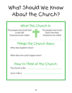### What Should We Know About the Church?

### What the Church is:

The people who loved God in the Old Testament were called:

The people who loved God in the New Testament are called:

### Things the Church does:

What does baptism show?

What does the Lord's Supper show?

### How to Think of the Church:

The church is like

Jesus is like a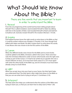## What Should We Know About the Bible?

There are five words that are important to learn in order to understand the Bible.

### 1. Reveal

From the very beginning of the world God has been **telling people about Himself**. This is called revelation. God revealed Himself to Adam by talking with him in the Garden of Eden. God revealed Himself to Noah and told him to build an ark. God also reveals Himself in His Creation *(Romans 1:18-20)*.

#### 2. Inspire

God helped humans know the right words **to write down in the Bible** so that it could be written without any mistakes *(2 Timothy 3:16)*. Even though God talked with Adam and Noah, He didn't inspire them to write down His words. It was Moses who was chosen to be the first author of the Bible.

#### 3. Canon

When **the different books were chosen for the Bible** and no more books could be added to the Bible, Christians called it the Canon. There were four rules the Christians followed in order to know which books were the right ones to keep as part of the Canon: (1) It had to be written by an apostle who was a chosen follower of Jesus, (2) It must have God's name in it, (3) It must agree with what the other books of the Bible say, and (4) Christians must have been already using it as God's Word.

### 4. Light

When you accept Jesus into your heart as your Savior, **the Holy Spirit helps you understand God**. The Holy Spirit is like a light that shines on the Bible so that you can see what God is trying to tell you *(1 Corinthians 2:10).*

### 5. Interpret

The Holy Spirit also helps you understand what the authors of the Bible were trying to teach you, so that you can **learn how to obey God** *(2 Peter 1:20)*.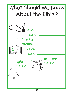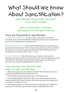### What Should We Know About Sanctification?

Sanctification means to be "set apart" from what is wrong.

When you become a Christian, God sees you as set apart from sin.

#### There are three kinds of sanctification

1. **Immediate Sanctification** – As soon as you **accept Jesus as your God and Savior**, your sins are immediately washed away and you are set apart from the rest of the sinful world *(1 Corinthians 6:11)*.

2. **Growing Sanctification** – As you read the Bible and learn more about God, you become more set apart. This is because as you grow you will **try to be more like Jesus.** He was kind to people, loved God more than anything, and never sinned but you sometimes will *(1 Peter 1:13-16)*.

3. **Final Sanctification** – The last time you are set apart is when you die. While you are here on earth you will continue to sin, even though you are trying to be like Jesus. But when you **get to heaven after you die**, you will not sin any more. This is your final sanctification *(1 John 3:1-3)*.

### There are four ways the Holy Spirit helps you with sanctification

1. When you accept Jesus as your God and Savior **the Holy Spirit** gives you a new life; a life with God as the center *(Titus 3:5)*.

- 2. **The Holy Spirit** comes to live within you *(1 Corinthians 6:19)*.
- 3. You are baptized by **the Holy Spirit**. This is not a water baptism, like you learned about in the "Church" chapter. This means that you are now part of Jesus' family *(1 Corinthians 12:13)*.

4. **The Holy Spirit** seals you. If you have become a Christian, your salvation is protected. You will get to go to heaven when you die *(Ephesians 4:30)*.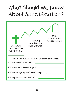### What Should We Know About Sanctification?

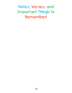Notes, Verses, and Important Things to Remember!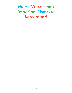Notes, Verses, and Important Things to Remember!